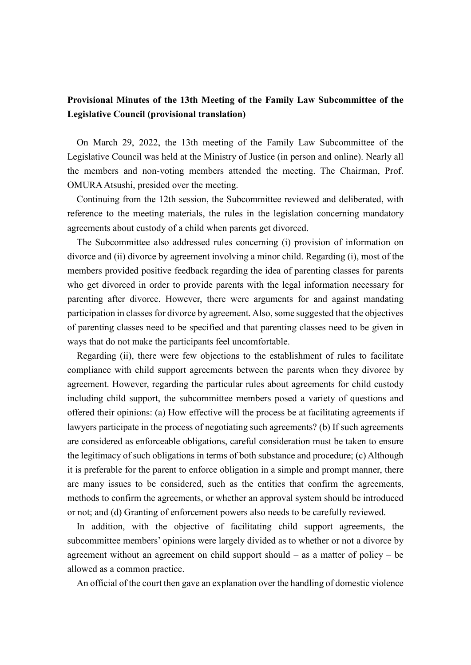## **Provisional Minutes of the 13th Meeting of the Family Law Subcommittee of the Legislative Council (provisional translation)**

On March 29, 2022, the 13th meeting of the Family Law Subcommittee of the Legislative Council was held at the Ministry of Justice (in person and online). Nearly all the members and non-voting members attended the meeting. The Chairman, Prof. OMURAAtsushi, presided over the meeting.

Continuing from the 12th session, the Subcommittee reviewed and deliberated, with reference to the meeting materials, the rules in the legislation concerning mandatory agreements about custody of a child when parents get divorced.

The Subcommittee also addressed rules concerning (i) provision of information on divorce and (ii) divorce by agreement involving a minor child. Regarding (i), most of the members provided positive feedback regarding the idea of parenting classes for parents who get divorced in order to provide parents with the legal information necessary for parenting after divorce. However, there were arguments for and against mandating participation in classes for divorce by agreement. Also, some suggested that the objectives of parenting classes need to be specified and that parenting classes need to be given in ways that do not make the participants feel uncomfortable.

Regarding (ii), there were few objections to the establishment of rules to facilitate compliance with child support agreements between the parents when they divorce by agreement. However, regarding the particular rules about agreements for child custody including child support, the subcommittee members posed a variety of questions and offered their opinions: (a) How effective will the process be at facilitating agreements if lawyers participate in the process of negotiating such agreements? (b) If such agreements are considered as enforceable obligations, careful consideration must be taken to ensure the legitimacy of such obligations in terms of both substance and procedure; (c) Although it is preferable for the parent to enforce obligation in a simple and prompt manner, there are many issues to be considered, such as the entities that confirm the agreements, methods to confirm the agreements, or whether an approval system should be introduced or not; and (d) Granting of enforcement powers also needs to be carefully reviewed.

In addition, with the objective of facilitating child support agreements, the subcommittee members' opinions were largely divided as to whether or not a divorce by agreement without an agreement on child support should – as a matter of policy – be allowed as a common practice.

An official of the court then gave an explanation over the handling of domestic violence